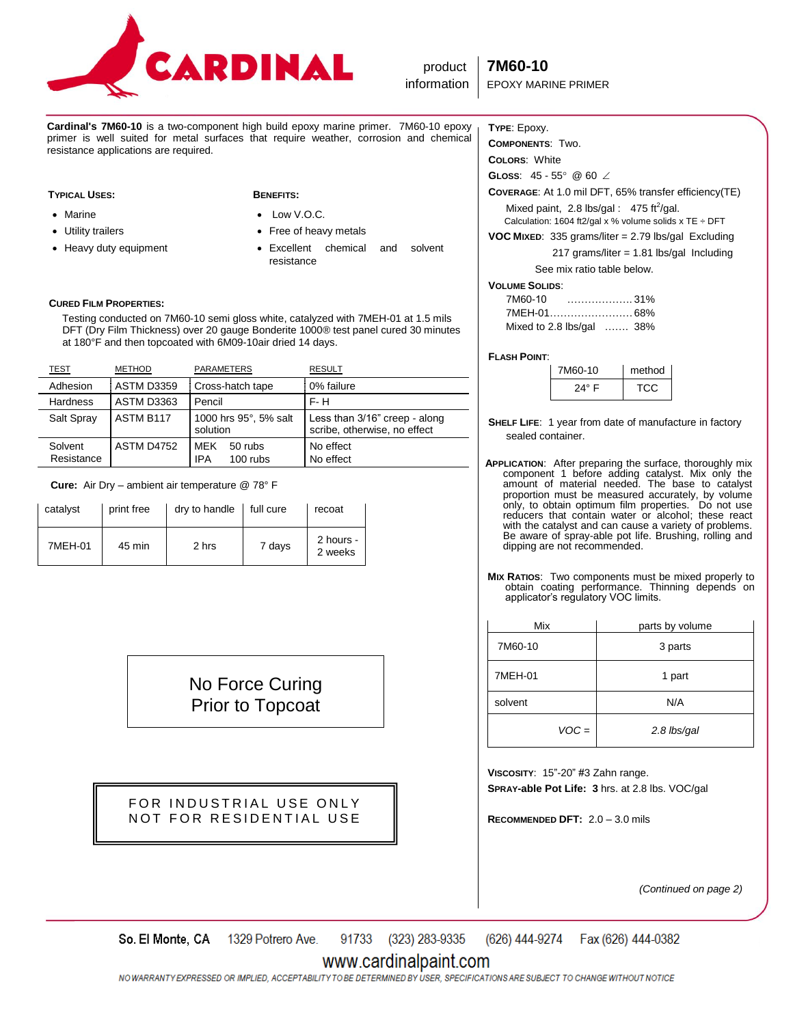

**Cardinal's 7M60-10** is a two-component high build epoxy marine primer. 7M60-10 epoxy primer is well suited for metal surfaces that require weather, corrosion and chemical resistance applications are required.

## **TYPICAL USES: BENEFITS:**

Utility trailers

• Marine

- Low V.O.C.
	- Free of heavy metals
	- Excellent chemical and solvent resistance

## **CURED FILM PROPERTIES:**

• Heavy duty equipment

 Testing conducted on 7M60-10 semi gloss white, catalyzed with 7MEH-01 at 1.5 mils DFT (Dry Film Thickness) over 20 gauge Bonderite 1000® test panel cured 30 minutes at 180°F and then topcoated with 6M09-10air dried 14 days.

| <b>TEST</b>           | <b>METHOD</b>     | <b>PARAMETERS</b>                                 | <b>RESULT</b>                                                 |
|-----------------------|-------------------|---------------------------------------------------|---------------------------------------------------------------|
| Adhesion              | <b>ASTM D3359</b> | Cross-hatch tape                                  | 0% failure                                                    |
| <b>Hardness</b>       | <b>ASTM D3363</b> | Pencil                                            | $F - H$                                                       |
| Salt Spray            | ASTM B117         | 1000 hrs 95°, 5% salt<br>solution                 | Less than 3/16" creep - along<br>scribe, otherwise, no effect |
| Solvent<br>Resistance | <b>ASTM D4752</b> | <b>MEK</b><br>50 rubs<br><b>IPA</b><br>$100$ rubs | No effect<br>No effect                                        |

 **Cure:** Air Dry – ambient air temperature @ 78° F

| catalyst | print free | dry to handle | full cure | recoat               |
|----------|------------|---------------|-----------|----------------------|
| 7MEH-01  | 45 min     | 2 hrs         | 7 days    | 2 hours -<br>2 weeks |

No Force Curing Prior to Topcoat

FOR INDUSTRIAL USE ONLY NOT FOR RESIDENTIAL USE

# **TYPE**: Epoxy.

**COMPONENTS**: Two.

**COLORS**: White **GLOSS:**  $45 - 55^{\circ}$  @ 60  $\angle$ 

**COVERAGE**: At 1.0 mil DFT, 65% transfer efficiency(TE) Mixed paint,  $2.8$  lbs/gal :  $475$  ft<sup>2</sup>/gal.

Calculation: 1604 ft2/gal x % volume solids x TE  $\div$  DFT

**VOC MIXED**: 335 grams/liter = 2.79 lbs/gal Excluding 217 grams/liter = 1.81 lbs/gal Including See mix ratio table below.

| <b>VOLUME SOLIDS:</b>     |  |
|---------------------------|--|
| 7M60-10                   |  |
|                           |  |
| Mixed to 2.8 lbs/gal  38% |  |

## **FLASH POINT**:

| 7M60-10        | method |
|----------------|--------|
| $24^{\circ}$ F | TCC.   |

- **SHELF LIFE**: 1 year from date of manufacture in factory sealed container.
- **APPLICATION**: After preparing the surface, thoroughly mix component 1 before adding catalyst. Mix only the amount of material needed. The base to catalyst proportion must be measured accurately, by volume only, to obtain optimum film properties. Do not use reducers that contain water or alcohol; these react with the catalyst and can cause a variety of problems. Be aware of spray-able pot life. Brushing, rolling and dipping are not recommended.
- **MIX RATIOS**: Two components must be mixed properly to obtain coating performance. Thinning depends on applicator's regulatory VOC limits.

| Mix     | parts by volume |
|---------|-----------------|
| 7M60-10 | 3 parts         |
| 7MEH-01 | 1 part          |
| solvent | N/A             |
| $VOC =$ | 2.8 lbs/gal     |

**VISCOSITY**: 15"-20" #3 Zahn range. **SPRAY-able Pot Life: 3** hrs. at 2.8 lbs. VOC/gal

**RECOMMENDED DFT:** 2.0 – 3.0 mils

*(Continued on page 2)*

1329 Potrero Ave. 91733 (323) 283-9335 (626) 444-9274 So. El Monte, CA Fax (626) 444-0382

# www.cardinalpaint.com

NO WARRANTY EXPRESSED OR IMPLIED, ACCEPTABILITY TO BE DETERMINED BY USER, SPECIFICATIONS ARE SUBJECT TO CHANGE WITHOUT NOTICE